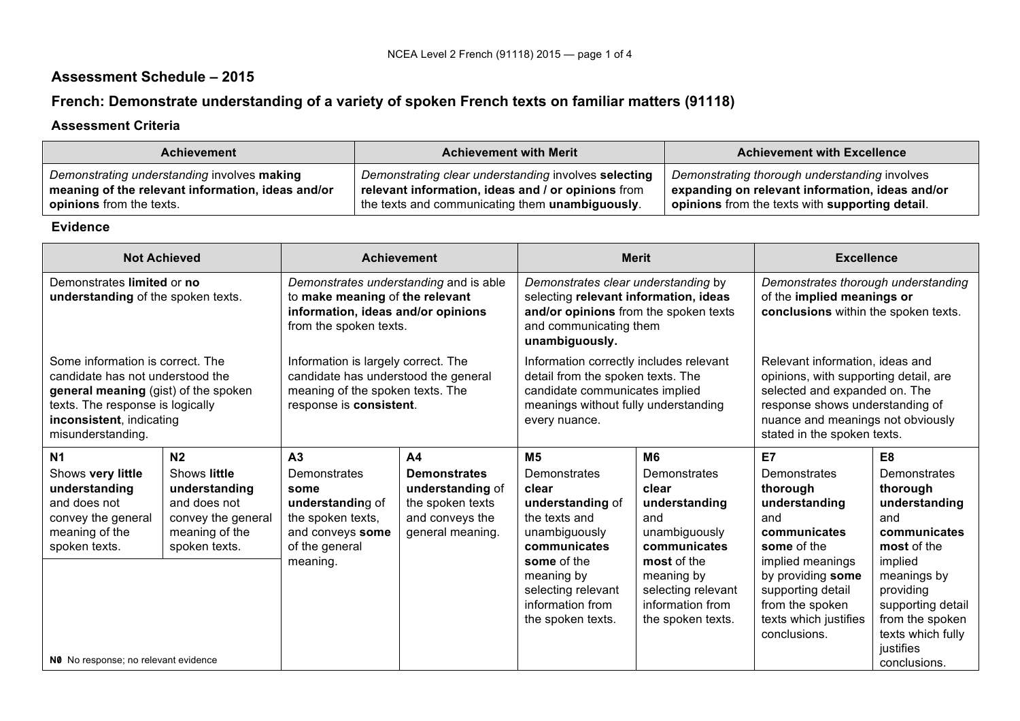## **Assessment Schedule – 2015**

# **French: Demonstrate understanding of a variety of spoken French texts on familiar matters (91118)**

#### **Assessment Criteria**

| <b>Achievement</b>                                | <b>Achievement with Merit</b>                           | <b>Achievement with Excellence</b>              |  |
|---------------------------------------------------|---------------------------------------------------------|-------------------------------------------------|--|
| Demonstrating understanding involves making       | Demonstrating clear understanding involves selecting    | Demonstrating thorough understanding involves   |  |
| meaning of the relevant information, ideas and/or | relevant information, ideas and / or opinions from      | expanding on relevant information, ideas and/or |  |
| <b>opinions</b> from the texts.                   | the texts and communicating them <b>unambiguously</b> . | opinions from the texts with supporting detail. |  |

#### **Evidence**

| <b>Not Achieved</b>                                                                                                                                                                               |                                                                                                                          | <b>Achievement</b>                                                                                                                         |                                                                                                                      | <b>Merit</b>                                                                                                                                                                                              |                                                                                                                                                                                              | <b>Excellence</b>                                                                                                                                                                                                |                                                                                                                                                                                                                           |
|---------------------------------------------------------------------------------------------------------------------------------------------------------------------------------------------------|--------------------------------------------------------------------------------------------------------------------------|--------------------------------------------------------------------------------------------------------------------------------------------|----------------------------------------------------------------------------------------------------------------------|-----------------------------------------------------------------------------------------------------------------------------------------------------------------------------------------------------------|----------------------------------------------------------------------------------------------------------------------------------------------------------------------------------------------|------------------------------------------------------------------------------------------------------------------------------------------------------------------------------------------------------------------|---------------------------------------------------------------------------------------------------------------------------------------------------------------------------------------------------------------------------|
| Demonstrates limited or no<br>understanding of the spoken texts.                                                                                                                                  |                                                                                                                          | Demonstrates understanding and is able<br>to make meaning of the relevant<br>information, ideas and/or opinions<br>from the spoken texts.  |                                                                                                                      | Demonstrates clear understanding by<br>selecting relevant information, ideas<br>and/or opinions from the spoken texts<br>and communicating them<br>unambiguously.                                         |                                                                                                                                                                                              | Demonstrates thorough understanding<br>of the implied meanings or<br>conclusions within the spoken texts.                                                                                                        |                                                                                                                                                                                                                           |
| Some information is correct. The<br>candidate has not understood the<br>general meaning (gist) of the spoken<br>texts. The response is logically<br>inconsistent, indicating<br>misunderstanding. |                                                                                                                          | Information is largely correct. The<br>candidate has understood the general<br>meaning of the spoken texts. The<br>response is consistent. |                                                                                                                      | Information correctly includes relevant<br>detail from the spoken texts. The<br>candidate communicates implied<br>meanings without fully understanding<br>every nuance.                                   |                                                                                                                                                                                              | Relevant information, ideas and<br>opinions, with supporting detail, are<br>selected and expanded on. The<br>response shows understanding of<br>nuance and meanings not obviously<br>stated in the spoken texts. |                                                                                                                                                                                                                           |
| N <sub>1</sub><br>Shows very little<br>understanding<br>and does not<br>convey the general<br>meaning of the<br>spoken texts.                                                                     | N <sub>2</sub><br>Shows little<br>understanding<br>and does not<br>convey the general<br>meaning of the<br>spoken texts. | A <sub>3</sub><br><b>Demonstrates</b><br>some<br>understanding of<br>the spoken texts,<br>and conveys some<br>of the general<br>meaning.   | A <sub>4</sub><br><b>Demonstrates</b><br>understanding of<br>the spoken texts<br>and conveys the<br>general meaning. | M <sub>5</sub><br>Demonstrates<br>clear<br>understanding of<br>the texts and<br>unambiguously<br>communicates<br>some of the<br>meaning by<br>selecting relevant<br>information from<br>the spoken texts. | M <sub>6</sub><br>Demonstrates<br>clear<br>understanding<br>and<br>unambiguously<br>communicates<br>most of the<br>meaning by<br>selecting relevant<br>information from<br>the spoken texts. | E7<br>Demonstrates<br>thorough<br>understanding<br>and<br>communicates<br>some of the<br>implied meanings<br>by providing some<br>supporting detail<br>from the spoken<br>texts which justifies<br>conclusions.  | E <sub>8</sub><br><b>Demonstrates</b><br>thorough<br>understanding<br>and<br>communicates<br>most of the<br>implied<br>meanings by<br>providing<br>supporting detail<br>from the spoken<br>texts which fully<br>justifies |
| NO No response; no relevant evidence                                                                                                                                                              |                                                                                                                          |                                                                                                                                            |                                                                                                                      |                                                                                                                                                                                                           |                                                                                                                                                                                              |                                                                                                                                                                                                                  | conclusions.                                                                                                                                                                                                              |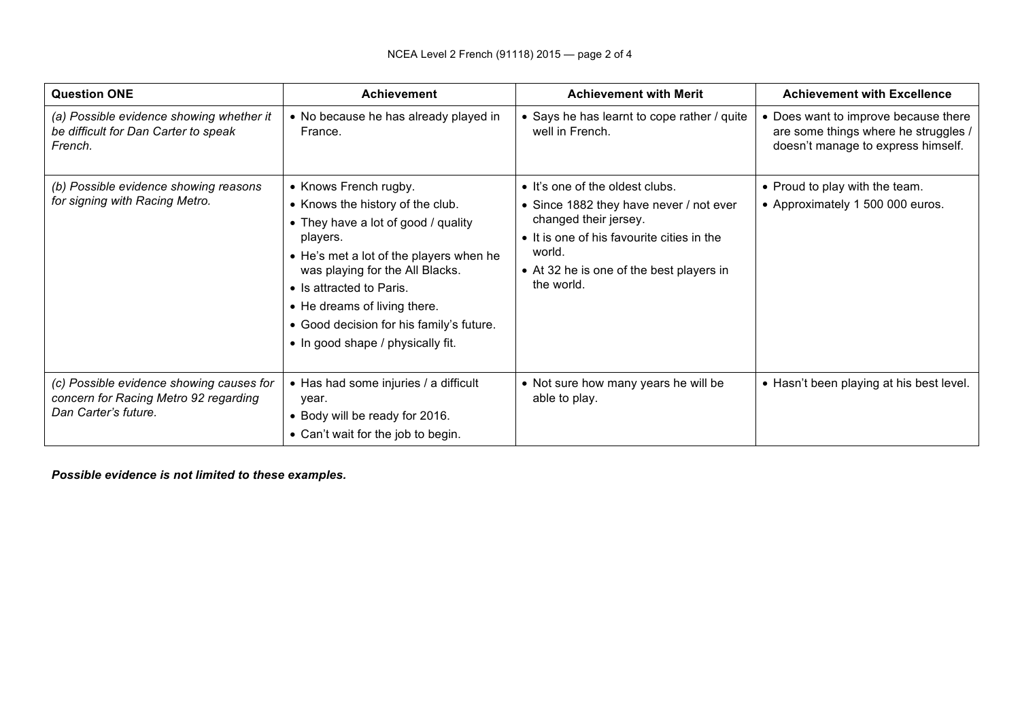| <b>Question ONE</b>                                                                                       | <b>Achievement</b>                                                                                                                                                                                                                                                                                                                      | <b>Achievement with Merit</b>                                                                                                                                                                                         | <b>Achievement with Excellence</b>                                                                                 |
|-----------------------------------------------------------------------------------------------------------|-----------------------------------------------------------------------------------------------------------------------------------------------------------------------------------------------------------------------------------------------------------------------------------------------------------------------------------------|-----------------------------------------------------------------------------------------------------------------------------------------------------------------------------------------------------------------------|--------------------------------------------------------------------------------------------------------------------|
| (a) Possible evidence showing whether it<br>be difficult for Dan Carter to speak<br>French.               | • No because he has already played in<br>France.                                                                                                                                                                                                                                                                                        | • Says he has learnt to cope rather / quite<br>well in French.                                                                                                                                                        | • Does want to improve because there<br>are some things where he struggles /<br>doesn't manage to express himself. |
| (b) Possible evidence showing reasons<br>for signing with Racing Metro.                                   | • Knows French rugby.<br>• Knows the history of the club.<br>• They have a lot of good / quality<br>players.<br>• He's met a lot of the players when he<br>was playing for the All Blacks.<br>• Is attracted to Paris.<br>• He dreams of living there.<br>• Good decision for his family's future.<br>• In good shape / physically fit. | • It's one of the oldest clubs.<br>• Since 1882 they have never / not ever<br>changed their jersey.<br>• It is one of his favourite cities in the<br>world.<br>• At 32 he is one of the best players in<br>the world. | • Proud to play with the team.<br>• Approximately 1 500 000 euros.                                                 |
| (c) Possible evidence showing causes for<br>concern for Racing Metro 92 regarding<br>Dan Carter's future. | • Has had some injuries / a difficult<br>year.<br>• Body will be ready for 2016.<br>• Can't wait for the job to begin.                                                                                                                                                                                                                  | • Not sure how many years he will be<br>able to play.                                                                                                                                                                 | • Hasn't been playing at his best level.                                                                           |

*Possible evidence is not limited to these examples.*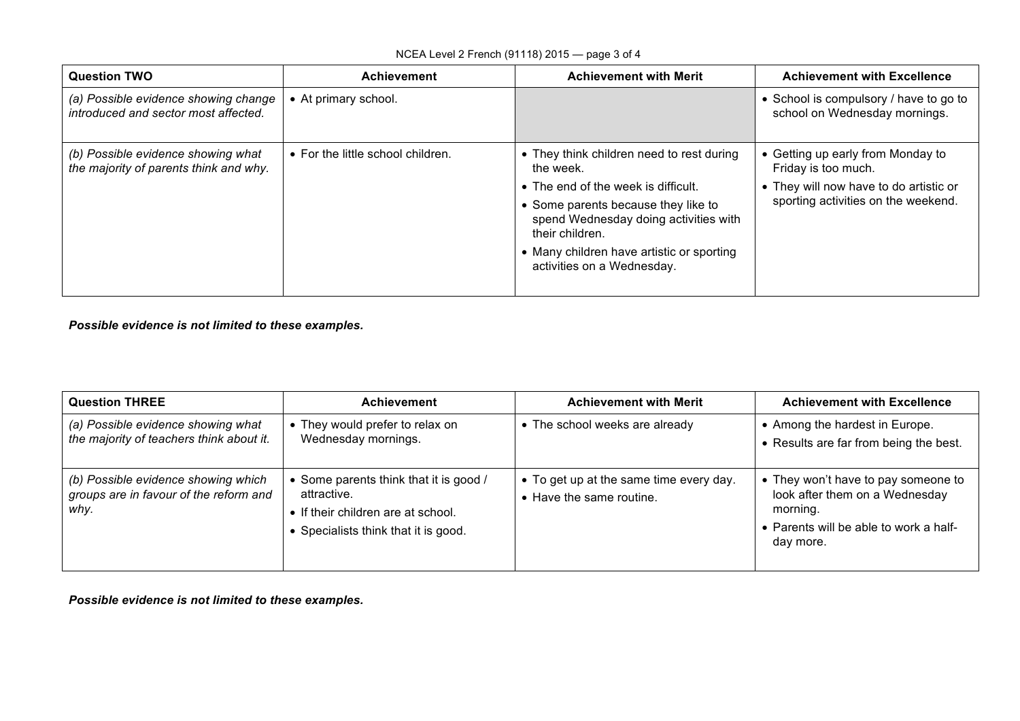| <b>Question TWO</b>                                                          | <b>Achievement</b>                | <b>Achievement with Merit</b>                                                                                                                                                                                                                                               | <b>Achievement with Excellence</b>                                                                                                        |
|------------------------------------------------------------------------------|-----------------------------------|-----------------------------------------------------------------------------------------------------------------------------------------------------------------------------------------------------------------------------------------------------------------------------|-------------------------------------------------------------------------------------------------------------------------------------------|
| (a) Possible evidence showing change<br>introduced and sector most affected. | • At primary school.              |                                                                                                                                                                                                                                                                             | • School is compulsory / have to go to<br>school on Wednesday mornings.                                                                   |
| (b) Possible evidence showing what<br>the majority of parents think and why. | • For the little school children. | • They think children need to rest during<br>the week.<br>• The end of the week is difficult.<br>• Some parents because they like to<br>spend Wednesday doing activities with<br>their children.<br>• Many children have artistic or sporting<br>activities on a Wednesday. | • Getting up early from Monday to<br>Friday is too much.<br>• They will now have to do artistic or<br>sporting activities on the weekend. |

*Possible evidence is not limited to these examples.*

| <b>Question THREE</b>                                                                 | <b>Achievement</b>                                                                                                                | <b>Achievement with Merit</b>                                       | <b>Achievement with Excellence</b>                                                                                                       |
|---------------------------------------------------------------------------------------|-----------------------------------------------------------------------------------------------------------------------------------|---------------------------------------------------------------------|------------------------------------------------------------------------------------------------------------------------------------------|
| (a) Possible evidence showing what<br>the majority of teachers think about it.        | • They would prefer to relax on<br>Wednesday mornings.                                                                            | The school weeks are already                                        | • Among the hardest in Europe.<br>• Results are far from being the best.                                                                 |
| (b) Possible evidence showing which<br>groups are in favour of the reform and<br>why. | Some parents think that it is good /<br>attractive.<br>• If their children are at school.<br>• Specialists think that it is good. | • To get up at the same time every day.<br>• Have the same routine. | • They won't have to pay someone to<br>look after them on a Wednesday<br>morning.<br>• Parents will be able to work a half-<br>day more. |

*Possible evidence is not limited to these examples.*